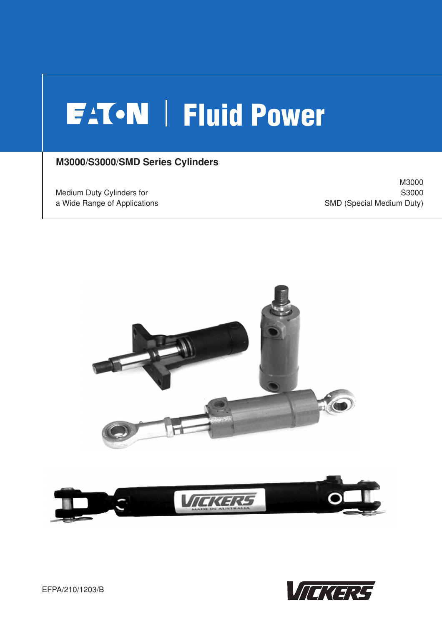# **FATON** Fluid Power

## **M3000/S3000/SMD Series Cylinders**

Medium Duty Cylinders for a Wide Range of Applications

M3000 S3000 SMD (Special Medium Duty)



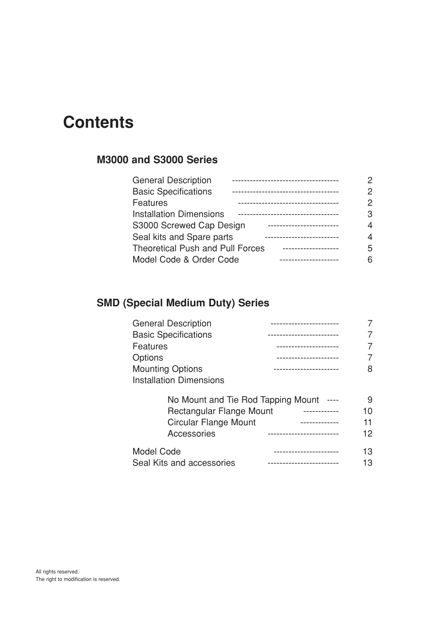## **Contents**

## **M3000 and S3000 Series**

| <b>General Description</b>              | 2 |
|-----------------------------------------|---|
| <b>Basic Specifications</b>             | 2 |
| Features                                | 2 |
| <b>Installation Dimensions</b>          | 3 |
| S3000 Screwed Cap Design                | 4 |
| Seal kits and Spare parts               | 4 |
| <b>Theoretical Push and Pull Forces</b> | 5 |
| Model Code & Order Code                 | 6 |

## **SMD (Special Medium Duty) Series**

| <b>General Description</b>         |    |
|------------------------------------|----|
| <b>Basic Specifications</b>        |    |
| <b>Features</b>                    |    |
| Options                            |    |
| <b>Mounting Options</b>            | 8  |
| <b>Installation Dimensions</b>     |    |
| No Mount and Tie Rod Tapping Mount | 9  |
| Rectangular Flange Mount           | 10 |
| Circular Flange Mount              | 11 |
| Accessories                        | 12 |
|                                    |    |

| Model Code                |  |
|---------------------------|--|
| Seal Kits and accessories |  |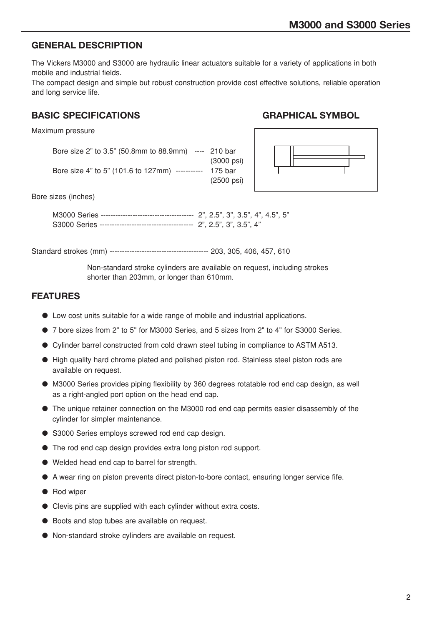#### **GENERAL DESCRIPTION**

The Vickers M3000 and S3000 are hydraulic linear actuators suitable for a variety of applications in both mobile and industrial fields.

The compact design and simple but robust construction provide cost effective solutions, reliable operation and long service life.

#### **BASIC SPECIFICATIONS GRAPHICAL SYMBOL**

#### Maximum pressure

Bore size 2" to 3.5" (50.8mm to 88.9mm) ---- 210 bar (3000 psi) Bore size 4" to 5" (101.6 to 127mm) ----------- 175 bar (2500 psi)



Bore sizes (inches)

M3000 Series -------------------------------------- 2", 2.5", 3", 3.5", 4", 4.5", 5" S3000 Series -------------------------------------- 2", 2.5", 3", 3.5", 4"

Standard strokes (mm) ---------------------------------------- 203, 305, 406, 457, 610

Non-standard stroke cylinders are available on request, including strokes shorter than 203mm, or longer than 610mm.

#### **FEATURES**

- Low cost units suitable for a wide range of mobile and industrial applications.
- 7 bore sizes from 2" to 5" for M3000 Series, and 5 sizes from 2" to 4" for S3000 Series.
- Cylinder barrel constructed from cold drawn steel tubing in compliance to ASTM A513.
- High quality hard chrome plated and polished piston rod. Stainless steel piston rods are available on request.
- M3000 Series provides piping flexibility by 360 degrees rotatable rod end cap design, as well as a right-angled port option on the head end cap.
- The unique retainer connection on the M3000 rod end cap permits easier disassembly of the cylinder for simpler maintenance.
- S3000 Series employs screwed rod end cap design.
- The rod end cap design provides extra long piston rod support.
- Welded head end cap to barrel for strength.
- A wear ring on piston prevents direct piston-to-bore contact, ensuring longer service fife.
- Rod wiper
- Clevis pins are supplied with each cylinder without extra costs.
- Boots and stop tubes are available on request.
- Non-standard stroke cylinders are available on request.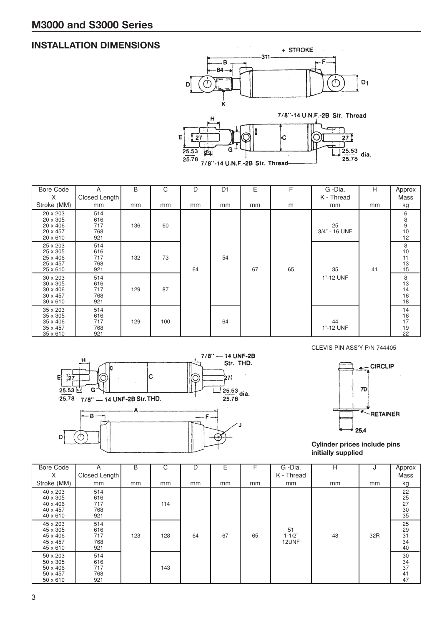## **INSTALLATION DIMENSIONS**



| <b>Bore Code</b><br>$\times$                                    | A                               | B   | C   | D  | D <sub>1</sub> | Ε  | F  | G -Dia.<br>K - Thread | H  | Approx                             |
|-----------------------------------------------------------------|---------------------------------|-----|-----|----|----------------|----|----|-----------------------|----|------------------------------------|
| Stroke (MM)                                                     | Closed Length<br>mm             | mm  | mm  | mm | mm             | mm | m  | mm                    | mm | Mass<br>kg                         |
| 20 x 203<br>20 x 305<br>20 x 406<br>20 x 457<br>20 x 610        | 514<br>616<br>717<br>768<br>921 | 136 | 60  |    |                |    |    | 25<br>3/4" - 16 UNF   |    | 6<br>8<br>9<br>10<br>12            |
| 25 x 203<br>25 x 305<br>25 x 406<br>25 x 457<br>25 x 610        | 514<br>616<br>717<br>768<br>921 | 132 | 73  | 64 | 54             | 67 | 65 | 35                    | 41 | 8<br>$10$<br>11<br>$\frac{13}{15}$ |
| 30 x 203<br>30 x 305<br>30 x 406<br>30 x 457<br>$30 \times 610$ | 514<br>616<br>717<br>768<br>921 | 129 | 87  |    |                |    |    | 1"-12 UNF             |    | 8<br>13<br>14<br>16<br>18          |
| 35 x 203<br>35 x 305<br>35 x 406<br>35 x 457<br>35 x 610        | 514<br>616<br>717<br>768<br>921 | 129 | 100 |    | 64             |    |    | 44<br>1"-12 UNF       |    | 14<br>16<br>17<br>19<br>22         |



CLEVIS PIN ASS'Y P/N 744405



**Cylinder prices include pins initially supplied**

| <b>Bore Code</b>                                                | A                               | B   | C   | D  | F  |    | G -Dia.                   | н  | J   | Approx                            |
|-----------------------------------------------------------------|---------------------------------|-----|-----|----|----|----|---------------------------|----|-----|-----------------------------------|
| X                                                               | Closed Length                   |     |     |    |    |    | K - Thread                |    |     | Mass                              |
| Stroke (MM)                                                     | mm                              | mm  | mm  | mm | mm | mm | mm                        | mm | mm  | kg                                |
| 40 x 203<br>40 x 305<br>40 x 406<br>40 x 457<br>40 x 610        | 514<br>616<br>717<br>768<br>921 |     | 114 |    |    |    |                           |    |     | 22<br>25<br>27<br>30<br>35        |
| 45 x 203<br>45 x 305<br>45 x 406<br>45 x 457<br>45 x 610        | 514<br>616<br>717<br>768<br>921 | 123 | 128 | 64 | 67 | 65 | 51<br>$1 - 1/2"$<br>12UNF | 48 | 32R | 25<br>29<br>$\frac{31}{34}$<br>40 |
| 50 x 203<br>50 x 305<br>50 x 406<br>50 x 457<br>$50 \times 610$ | 514<br>616<br>717<br>768<br>921 |     | 143 |    |    |    |                           |    |     | 30<br>34<br>37<br>41<br>47        |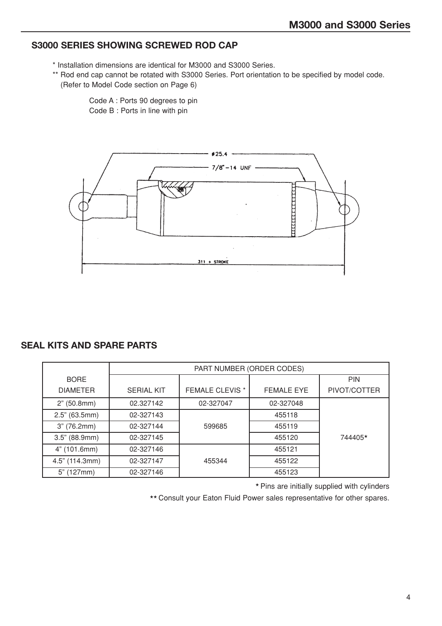## **S3000 SERIES SHOWING SCREWED ROD CAP**

- \* Installation dimensions are identical for M3000 and S3000 Series.
- \*\* Rod end cap cannot be rotated with S3000 Series. Port orientation to be specified by model code. (Refer to Model Code section on Page 6)

Code A : Ports 90 degrees to pin Code B : Ports in line with pin



#### **SEAL KITS AND SPARE PARTS**

|                 |                   | PART NUMBER (ORDER CODES) |            |              |
|-----------------|-------------------|---------------------------|------------|--------------|
| <b>BORE</b>     |                   |                           |            | <b>PIN</b>   |
| <b>DIAMETER</b> | <b>SERIAL KIT</b> | <b>FEMALE CLEVIS *</b>    | FEMALE EYE | PIVOT/COTTER |
| 2" (50.8mm)     | 02.327142         | 02-327047                 | 02-327048  |              |
| 2.5" (63.5mm)   | 02-327143         |                           | 455118     |              |
| 3" (76.2mm)     | 02-327144         | 599685                    | 455119     |              |
| 3.5" (88.9mm)   | 02-327145         |                           | 455120     | 744405*      |
| 4" (101.6mm)    | 02-327146         |                           | 455121     |              |
| 4.5" (114.3mm)  | 02-327147         | 455344                    | 455122     |              |
| 5" (127mm)      | 02-327146         |                           | 455123     |              |

★ Pins are initially supplied with cylinders

★★ Consult your Eaton Fluid Power sales representative for other spares.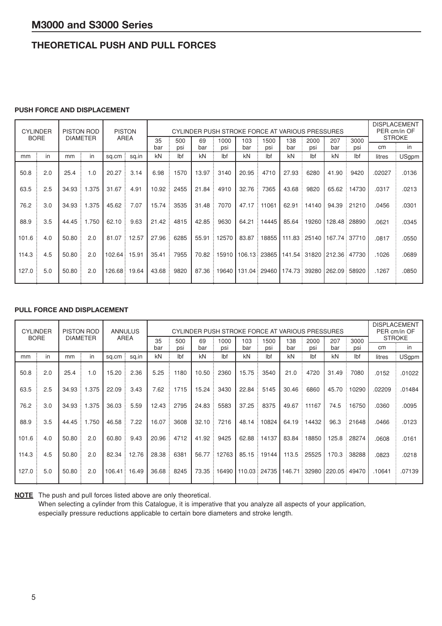## **THEORETICAL PUSH AND PULL FORCES**

#### **PUSH FORCE AND DISPLACEMENT**

|       | <b>CYLINDER</b> |       | <b>PISTON ROD</b> |         | <b>PISTON</b><br>CYLINDER PUSH STROKE FORCE AT VARIOUS PRESSURES<br>AREA |           |            |           |             |            |                |            |                |                | <b>DISPLACEMENT</b><br>PER cm/in OF |        |                     |
|-------|-----------------|-------|-------------------|---------|--------------------------------------------------------------------------|-----------|------------|-----------|-------------|------------|----------------|------------|----------------|----------------|-------------------------------------|--------|---------------------|
|       | <b>BORE</b>     |       | <b>DIAMETER</b>   |         |                                                                          | 35<br>bar | 500<br>psi | 69<br>bar | 1000<br>psi | 103<br>bar | 1500<br>psi    | 138<br>bar | 2000<br>psi    | 207<br>bar     | 3000<br>psi                         | cm     | <b>STROKE</b><br>in |
| mm    | in              | mm    | in                | sq.cm:  | sq.in                                                                    | kN        | lbf        | kN        | lbf         | kN         | lbf            | kN         | lbf            | kN             | lbf                                 | litres | USgpm               |
| 50.8  | 2.0             | 25.4  | 1.0               | 20.27   | 3.14                                                                     | 6.98      | 1570       | 13.97     | 3140        | 20.95      | 4710           | 27.93      | 6280           | 41.90          | 9420                                | .02027 | .0136               |
| 63.5  | 2.5             | 34.93 | .375              | 31.67   | 4.91                                                                     | 10.92     | 2455       | 21.84     | 4910        | 32.76      | 7365           | 43.68      | 9820           | 65.62          | 14730                               | .0317  | .0213               |
| 76.2  | 3.0             | 34.93 | .375              | 45.62   | 7.07                                                                     | 15.74     | 3535       | 31.48     | 7070        | 47.17      | 11061          | 62.91      | 14140          | 94.39          | 21210                               | .0456  | .0301               |
| 88.9  | 3.5             | 44.45 | 1.750             | 62.10   | 9.63                                                                     | 21.42     | 4815       | 42.85     | 9630        | 64.21      | 14445          | 85.64      | 19260          | 128.48:        | 28890                               | .0621  | .0345               |
| 101.6 | 4.0             | 50.80 | 2.0               | 81.07   | 12.57                                                                    | 27.96     | 6285       | 55.91     | 2570        | 83.87      | 18855          |            | 111.83 : 25140 | 167.74         | 37710                               | .0817  | .0550               |
| 114.3 | 4.5             | 50.80 | 2.0               | 102.64: | 15.91                                                                    | 35.41     | 7955       | 70.82     | 15910       | 106.13:    | 23865          |            | 141.54 31820   | 212.36 ፡ 47730 |                                     | .1026  | .0689               |
| 127.0 | 5.0             | 50.80 | 2.0               | 126.68: | 19.64                                                                    | 43.68     | 9820       | 87.36     | 9640        |            | 131.04 : 29460 |            | 174.73 : 39280 | 262.09:        | 58920                               | .1267  | .0850               |

#### **PULL FORCE AND DISPLACEMENT**

| <b>CYLINDER</b> |             |       | <b>PISTON ROD</b> |        | <b>ANNULUS</b><br>CYLINDER PUSH STROKE FORCE AT VARIOUS PRESSURES |           |            |           |             |            |              |            |             |            | <b>DISPLACEMENT</b><br>PER cm/in OF<br><b>STROKE</b> |        |        |
|-----------------|-------------|-------|-------------------|--------|-------------------------------------------------------------------|-----------|------------|-----------|-------------|------------|--------------|------------|-------------|------------|------------------------------------------------------|--------|--------|
|                 | <b>BORE</b> |       | <b>DIAMETER</b>   |        | AREA                                                              | 35<br>bar | 500<br>psi | 69<br>bar | 1000<br>psi | 103<br>bar | 1500<br>psi  | 138<br>bar | 2000<br>psi | 207<br>bar | 3000<br>psi                                          | cm     | in     |
| mm              | in          | mm    | in                | sq.cm: | sq.in                                                             | kN        | lbf        | kN        | lbf         | kN         | lbf          | kN         | lbf         | kN         | lbf                                                  | litres | USgpm  |
| 50.8            | 2.0         | 25.4  | 1.0               | 15.20  | 2.36                                                              | 5.25      | 1180       | 10.50     | 2360        | 15.75      | 3540         | 21.0       | 4720        | 31.49      | 7080                                                 | .0152  | .01022 |
| 63.5            | 2.5         | 34.93 | .375              | 22.09  | 3.43                                                              | 7.62      | 1715       | 15.24     | 3430        | 22.84      | 5145         | 30.46      | 6860        | 45.70      | 10290                                                | .02209 | .01484 |
| 76.2            | 3.0         | 34.93 | 1.375             | 36.03  | 5.59                                                              | 12.43     | 2795       | 24.83     | 5583        | 37.25      | 8375         | 49.67      | 11167       | 74.5       | 16750                                                | .0360  | .0095  |
| 88.9            | 3.5         | 44.45 | 1.750             | 46.58  | 7.22                                                              | 16.07     | 3608       | 32.10     | 7216        | 48.14      | 10824        | 64.19      | 14432       | 96.3       | 21648                                                | .0466  | .0123  |
| 101.6           | 4.0         | 50.80 | 2.0               | 60.80  | 9.43                                                              | 20.96     | 4712       | 41.92     | 9425        | 62.88      | 14137        | 83.84      | 18850       | 125.8      | 28274                                                | .0608  | .0161  |
| 114.3           | 4.5         | 50.80 | 2.0               | 82.34  | 12.76                                                             | 28.38     | 6381       | 56.77     | 12763       | 85.15      | 19144        | 113.5      | 25525       | 170.3      | 38288                                                | .0823  | .0218  |
| 127.0           | 5.0         | 50.80 | 2.0               |        | 106.41 : 16.49                                                    | 36.68     | 8245       | 73.35     | 16490       |            | 110.03 24735 | 146.71 ፡   | 32980       |            | 220.05 : 49470                                       | .10641 | .07139 |

**NOTE** The push and pull forces listed above are only theoretical.

When selecting a cylinder from this Catalogue, it is imperative that you analyze all aspects of your application, especially pressure reductions applicable to certain bore diameters and stroke length.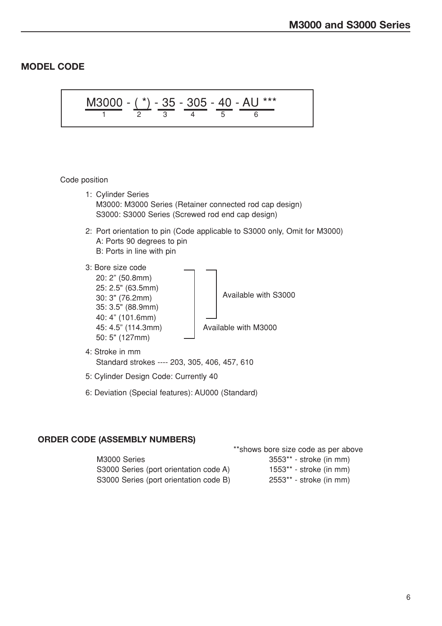## **MODEL CODE**

$$
\frac{\text{M3000}}{1} = \frac{(*)}{2} = \frac{35}{3} = \frac{305}{4} = \frac{40}{5} = \frac{\text{AU}^{***}}{6}
$$

#### Code position

- 1: Cylinder Series M3000: M3000 Series (Retainer connected rod cap design) S3000: S3000 Series (Screwed rod end cap design)
- 2: Port orientation to pin (Code applicable to S3000 only, Omit for M3000) A: Ports 90 degrees to pin B: Ports in line with pin
- 3: Bore size code
	- 20: 2" (50.8mm) 25: 2.5" (63.5mm) 35: 3.5" (88.9mm) 40: 4" (101.6mm) 50: 5" (127mm)

 $30: 3" (76.2mm)$   $\left.\right|$  Available with S3000

45: 4.5" (114.3mm) Available with M3000

- 4: Stroke in mm Standard strokes ---- 203, 305, 406, 457, 610
- 5: Cylinder Design Code: Currently 40
- 6: Deviation (Special features): AU000 (Standard)

#### **ORDER CODE (ASSEMBLY NUMBERS)**

|                                        | **shows bore size code as per above |
|----------------------------------------|-------------------------------------|
| M3000 Series                           | $3553**$ - stroke (in mm)           |
| S3000 Series (port orientation code A) | $1553**$ - stroke (in mm)           |
| S3000 Series (port orientation code B) | $2553**$ - stroke (in mm)           |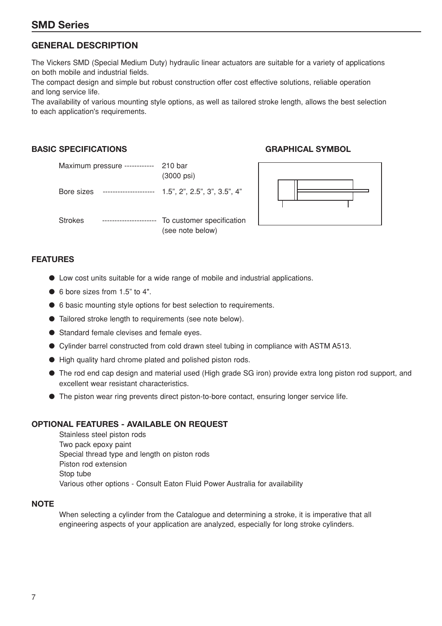## **SMD Series**

## **GENERAL DESCRIPTION**

The Vickers SMD (Special Medium Duty) hydraulic linear actuators are suitable for a variety of applications on both mobile and industrial fields.

The compact design and simple but robust construction offer cost effective solutions, reliable operation and long service life.

The availability of various mounting style options, as well as tailored stroke length, allows the best selection to each application's requirements.

#### **BASIC SPECIFICATIONS GRAPHICAL SYMBOL**

|            | Maximum pressure ------------ | 210 bar<br>$(3000 \text{ psi})$               |
|------------|-------------------------------|-----------------------------------------------|
| Bore sizes | ----------------------        | $1.5$ ", 2", 2.5", 3", 3.5", 4"               |
| Strokes    | -----------------------       | To customer specification<br>(see note below) |



#### **FEATURES**

- Low cost units suitable for a wide range of mobile and industrial applications.
- 6 bore sizes from 1.5" to 4".
- 6 basic mounting style options for best selection to requirements.
- Tailored stroke length to requirements (see note below).
- Standard female clevises and female eyes.
- Cylinder barrel constructed from cold drawn steel tubing in compliance with ASTM A513.
- High quality hard chrome plated and polished piston rods.
- The rod end cap design and material used (High grade SG iron) provide extra long piston rod support, and excellent wear resistant characteristics.
- The piston wear ring prevents direct piston-to-bore contact, ensuring longer service life.

#### **OPTIONAL FEATURES - AVAILABLE ON REQUEST**

Stainless steel piston rods Two pack epoxy paint Special thread type and length on piston rods Piston rod extension Stop tube Various other options - Consult Eaton Fluid Power Australia for availability

#### **NOTE**

When selecting a cylinder from the Catalogue and determining a stroke, it is imperative that all engineering aspects of your application are analyzed, especially for long stroke cylinders.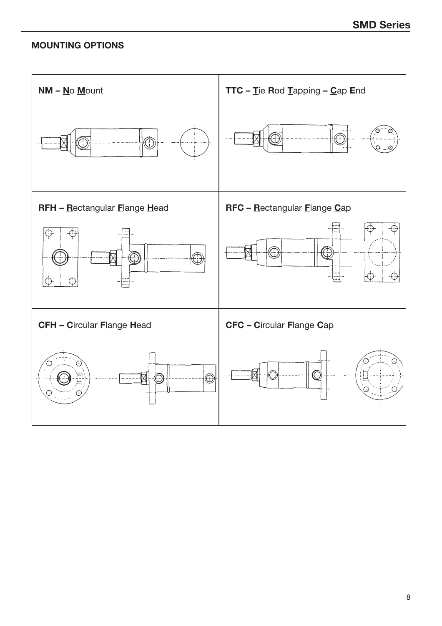## **MOUNTING OPTIONS**

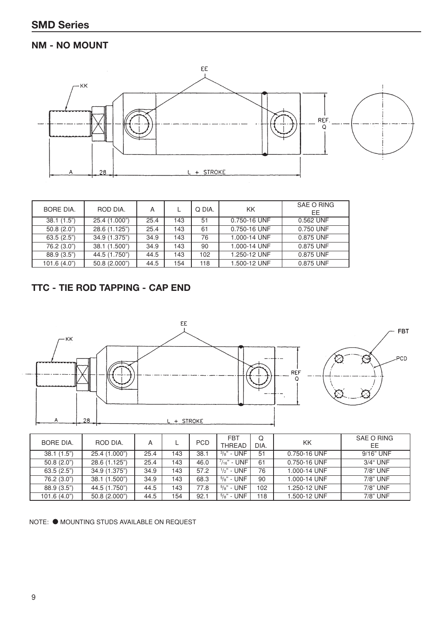## **NM - NO MOUNT**



| BORE DIA.   | ROD DIA.      | A    |     | Q DIA. | KK.          | SAE O RING<br>EE |
|-------------|---------------|------|-----|--------|--------------|------------------|
| 38.1(1.5")  | 25.4 (1.000") | 25.4 | 143 | 51     | 0.750-16 UNF | 0.562 UNF        |
| 50.8(2.0)   | 28.6 (1.125") | 25.4 | 143 | 61     | 0.750-16 UNF | 0.750 UNF        |
| 63.5(2.5")  | 34.9 (1.375") | 34.9 | 143 | 76     | 1.000-14 UNF | 0.875 UNF        |
| 76.2 (3.0") | 38.1 (1.500") | 34.9 | 143 | 90     | 1.000-14 UNF | 0.875 UNF        |
| 88.9(3.5")  | 44.5 (1.750") | 44.5 | 143 | 102    | 1.250-12 UNF | 0.875 UNF        |
| 101.6(4.0") | 50.8 (2.000") | 44.5 | 154 | 118    | 1.500-12 UNF | 0.875 UNF        |

## **TTC - TIE ROD TAPPING - CAP END**



| BORE DIA.    | ROD DIA.      | A    |     | <b>PCD</b> | <b>FBT</b><br><b>THREAD</b> | Q<br>DIA. | KK           | SAE O RING<br>EЕ |
|--------------|---------------|------|-----|------------|-----------------------------|-----------|--------------|------------------|
| 38.1(1.5")   | 25.4 (1.000") | 25.4 | 143 | 38.1       | $\frac{3}{8}$ " - UNF       | 51        | 0.750-16 UNF | 9/16" UNF        |
| 50.8(2.0)    | 28.6 (1.125") | 25.4 | 143 | 46.0       | $^{7}/_{16}$ " - UNF        | 61        | 0.750-16 UNF | 3/4" UNF         |
| 63.5(2.5")   | 34.9 (1.375") | 34.9 | 143 | 57.2       | $\frac{1}{2}$ " - UNF       | 76        | 1.000-14 UNF | 7/8" UNF         |
| 76.2 (3.0")  | 38.1 (1.500") | 34.9 | 143 | 68.3       | $^{5}/_{8}$ " - UNF         | 90        | 1.000-14 UNF | 7/8" UNF         |
| 88.9 (3.5")  | 44.5 (1.750") | 44.5 | 143 | 77.8       | $5/8$ " - UNF               | 102       | 1.250-12 UNF | 7/8" UNF         |
| 101.6 (4.0") | 50.8 (2.000") | 44.5 | 154 | 92.1       | $5/8"$ - UNF                | 118       | 1.500-12 UNF | 7/8" UNF         |

NOTE: ● MOUNTING STUDS AVAILABLE ON REQUEST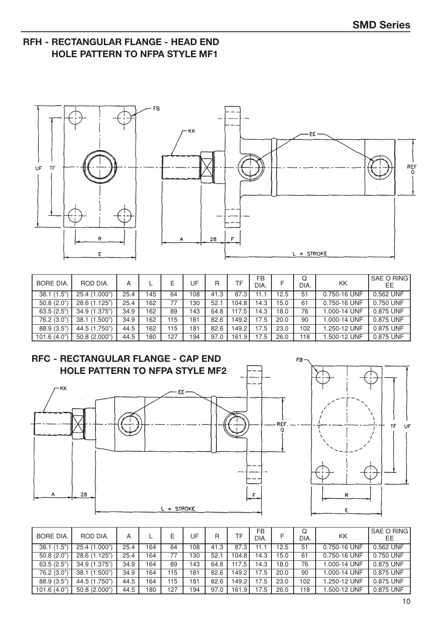## **RFH - RECTANGULAR FLANGE - HEAD END HOLE PATTERN TO NFPA STYLE MF1**



| <b>BORE DIA.</b> | ROD DIA.      | А    |     | F   | UF  | R    | TF     | <b>FB</b><br>DIA. |      | Q<br>DIA. | <b>KK</b>    | SAE O RING<br>ЕE |
|------------------|---------------|------|-----|-----|-----|------|--------|-------------------|------|-----------|--------------|------------------|
| 38.1(1.5")       | 25.4 (1.000") | 25.4 | 45  | 64  | 108 | 41.3 | 87.3   |                   | 12.5 | 51        | 0.750-16 UNF | $0.562$ UNF      |
| 50.8(2.0)        | 28.6 (1.125") | 25.4 | 162 | 77  | '30 | 52.1 | 104.8  | 14.3              | 15.0 | 61        | 0.750-16 UNF | 0.750 UNF        |
| 63.5(2.5")       | 34.9 (1.375") | 34.9 | 162 | 89  | 143 | 64.8 | 117.5  | 14.3              | 18.0 | 76        | 000-14 UNF   | 0.875 UNF        |
| 76.2 (3.0")      | 38.1 (1.500") | 34.9 | 162 | 115 | 181 | 82.6 | 149.2  | 17.5              | 20.0 | 90        | 1.000-14 UNF | 0.875 UNF        |
| 88.9 (3.5")      | 44.5 (1.750") | 44.5 | 162 | 115 | 181 | 82.6 | 149.2. | 17.5              | 23.0 | 102       | 1.250-12 UNF | 0.875 UNF        |
| 101.6(4.0)       | 50.8 (2.000") | 44.5 | 180 | 127 | 194 | 97.0 | 161.9  | 17.5              | 26.0 | 118       | .500-12 UNF  | 0.875 UNF        |



| <b>BORE DIA.</b> | ROD DIA.      | Α    |     | Е   | JF  | R    | TF                 | FB<br>DIA. |      | Q<br>DIA. | <b>KK</b>    | SAE O RING<br>EE |
|------------------|---------------|------|-----|-----|-----|------|--------------------|------------|------|-----------|--------------|------------------|
| 38.1(1.5")       | 25.4 (1.000") | 25.4 | 164 | 64  | 08  | 41.3 | 87.3               |            | 12.5 | 51        | 0.750-16 UNF | 0.562 UNF        |
| 50.8(2.0)        | 28.6 (1.125") | 25.4 | 164 | 77  | 130 | 52.1 | 104.8              | 14.3       | 15.0 | 61        | 0.750-16 UNF | 0.750 UNF        |
| 63.5(2.5")       | 34.9 (1.375") | 34.9 | 164 | 89  | 143 | 64.8 | 117.5              | 14.3       | 18.0 | 76        | 1.000-14 UNF | 0.875 UNF        |
| 76.2 (3.0")      | 38.1 (1.500") | 34.9 | 164 | 115 | 181 | 82.6 | 149.2 <sub>1</sub> | 17.5       | 20.0 | 90        | 1.000-14 UNF | 0.875 UNF        |
| 88.9 (3.5")      | 44.5 (1.750") | 44.5 | 164 | 115 | 181 | 82.6 | 149.2              | 17.5       | 23.0 | 102       | 1.250-12 UNF | 0.875 UNF        |
| 101.6(4.0")      | 50.8 (2.000") | 44.5 | 180 | 127 | 194 | 97.0 | 161.9              | 17.5       | 26.0 | 118       | 1.500-12 UNF | 0.875 UNF        |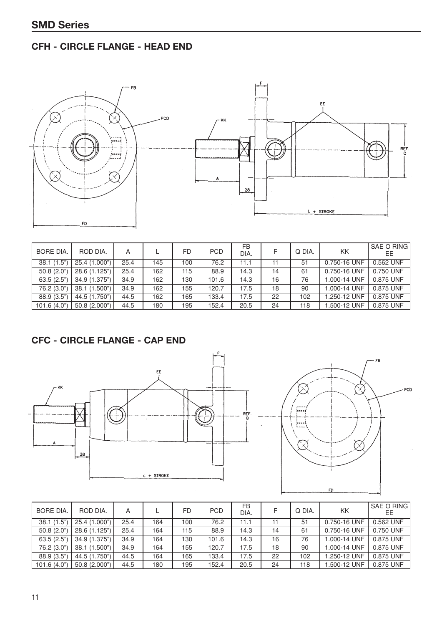## **CFH - CIRCLE FLANGE - HEAD END**





| <b>BORE DIA.</b> | ROD DIA.      | А    |     | <b>FD</b> | <b>PCD</b>        | FB<br>DIA. | F  | Q DIA. | KK           | SAE O RING<br>EЕ |
|------------------|---------------|------|-----|-----------|-------------------|------------|----|--------|--------------|------------------|
| 38.1(1.5")       | 25.4 (1.000") | 25.4 | 145 | 100       | $\overline{76.2}$ | 11.1       | 11 | 51     | 0.750-16 UNF | $0.562$ UNF      |
| 50.8(2.0)        | 28.6 (1.125") | 25.4 | 162 | 115       | 88.9              | 14.3       | 14 | 61     | 0.750-16 UNF | 0.750 UNF        |
| 63.5(2.5")       | 34.9 (1.375") | 34.9 | 162 | 130       | 101.6             | 14.3       | 16 | 76     | .000-14 UNF  | 0.875 UNF        |
| 76.2 (3.0")      | 38.1 (1.500") | 34.9 | 162 | 155       | 120.7             | 17.5       | 18 | 90     | .000-14 UNF  | 0.875 UNF        |
| 88.9 (3.5")      | 44.5 (1.750") | 44.5 | 162 | 165       | 133.4             | 17.5       | 22 | 102    | .250-12 UNF  | 0.875 UNF        |
| 101.6 (4.0")     | 50.8 (2.000") | 44.5 | 180 | 195       | 152.4             | 20.5       | 24 | 118    | .500-12 UNF  | 0.875 UNF        |

## **CFC - CIRCLE FLANGE - CAP END**





| <b>BORE DIA.</b> | ROD DIA.      | А    |     | <b>FD</b> | <b>PCD</b> | FB<br>DIA. |    | Q DIA. | KK           | SAE O RING<br>ЕE |
|------------------|---------------|------|-----|-----------|------------|------------|----|--------|--------------|------------------|
| 38.1(1.5")       | 25.4 (1.000") | 25.4 | 164 | 100       | 76.2       | 11.1       | 11 | 51     | 0.750-16 UNF | 0.562 UNF        |
| 50.8 (2.0"       | 28.6 (1.125") | 25.4 | 164 | 115       | 88.9       | 14.3       | 14 | 61     | 0.750-16 UNF | 0.750 UNF        |
| 63.5(2.5")       | 34.9 (1.375") | 34.9 | 164 | 130       | 101.6      | 14.3       | 16 | 76     | .000-14 UNF  | 0.875 UNF        |
| 76.2 (3.0")      | 38.1 (1.500") | 34.9 | 164 | 155       | 120.7      | 17.5       | 18 | 90     | .000-14 UNF  | 0.875 UNF        |
| 88.9 (3.5")      | 44.5 (1.750") | 44.5 | 164 | 165       | 133.4      | 17.5       | 22 | 102    | .250-12 UNF  | 0.875 UNF        |
| 101.6(4.0")      | 50.8 (2.000") | 44.5 | 180 | 195       | 152.4      | 20.5       | 24 | 118    | .500-12 UNF  | 0.875 UNF        |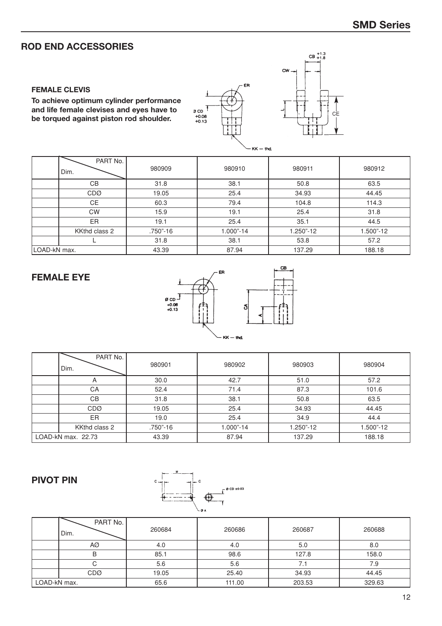## **ROD END ACCESSORIES**

#### **FEMALE CLEVIS**

**To achieve optimum cylinder performance and life female clevises and eyes have to be torqued against piston rod shoulder.**





|              |                  |          | $ \sim$ $ \sim$ |           |           |
|--------------|------------------|----------|-----------------|-----------|-----------|
|              | PART No.<br>Dim. | 980909   | 980910          | 980911    | 980912    |
|              | CВ               | 31.8     | 38.1            | 50.8      | 63.5      |
|              | <b>CDØ</b>       | 19.05    | 25.4            | 34.93     | 44.45     |
|              | <b>CE</b>        | 60.3     | 79.4            | 104.8     | 114.3     |
|              | <b>CW</b>        | 15.9     | 19.1            | 25.4      | 31.8      |
|              | ER.              | 19.1     | 25.4            | 35.1      | 44.5      |
|              | KKthd class 2    | .750"-16 | 1.000"-14       | 1.250"-12 | 1.500"-12 |
|              |                  | 31.8     | 38.1            | 53.8      | 57.2      |
| LOAD-kN max. |                  | 43.39    | 87.94           | 137.29    | 188.18    |

#### **FEMALE EYE**



| PART No.<br>Dim.   | 980901   | 980902    | 980903    | 980904    |
|--------------------|----------|-----------|-----------|-----------|
| $\mathsf{A}$       | 30.0     | 42.7      | 51.0      | 57.2      |
| CA                 | 52.4     | 71.4      | 87.3      | 101.6     |
| <b>CB</b>          | 31.8     | 38.1      | 50.8      | 63.5      |
| <b>CDØ</b>         | 19.05    | 25.4      | 34.93     | 44.45     |
| ER.                | 19.0     | 25.4      | 34.9      | 44.4      |
| KKthd class 2      | .750"-16 | 1.000"-14 | 1.250"-12 | 1.500"-12 |
| LOAD-kN max. 22.73 | 43.39    | 87.94     | 137.29    | 188.18    |

#### **PIVOT PIN**



|              | PART No.<br>Dim. | 260684 | 260686 | 260687 | 260688 |
|--------------|------------------|--------|--------|--------|--------|
|              | AØ               | 4.0    | 4.0    | 5.0    | 8.0    |
|              | в                | 85.1   | 98.6   | 127.8  | 158.0  |
|              | С                | 5.6    | 5.6    | 7.1    | 7.9    |
|              | <b>CDØ</b>       | 19.05  | 25.40  | 34.93  | 44.45  |
| LOAD-kN max. |                  | 65.6   | 111.00 | 203.53 | 329.63 |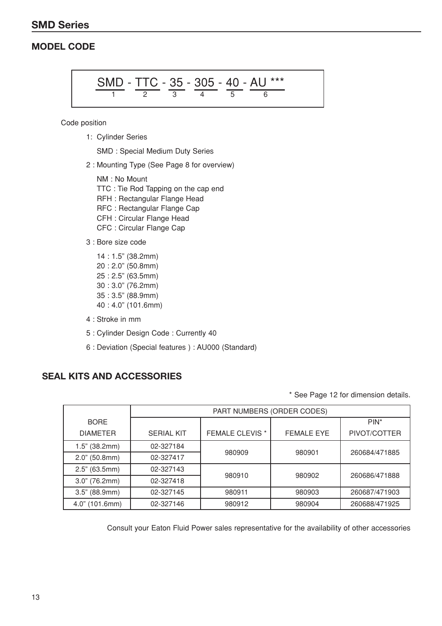## **SMD Series**

## **MODEL CODE**

SMD - TTC - 35 - 305 - 40 - AU<sup>\*\*\*</sup> 
$$
\frac{1}{6}
$$

Code position

1: Cylinder Series

SMD : Special Medium Duty Series

2 : Mounting Type (See Page 8 for overview)

NM : No Mount TTC : Tie Rod Tapping on the cap end RFH : Rectangular Flange Head RFC : Rectangular Flange Cap CFH : Circular Flange Head CFC : Circular Flange Cap

3 : Bore size code

14 : 1.5" (38.2mm) 20 : 2.0" (50.8mm) 25 : 2.5" (63.5mm) 30 : 3.0" (76.2mm) 35 : 3.5" (88.9mm) 40 : 4.0" (101.6mm)

- 4 : Stroke in mm
- 5 : Cylinder Design Code : Currently 40
- 6 : Deviation (Special features ) : AU000 (Standard)

#### **SEAL KITS AND ACCESSORIES**

\* See Page 12 for dimension details.

|                                | PART NUMBERS (ORDER CODES) |                        |                   |                         |  |  |  |
|--------------------------------|----------------------------|------------------------|-------------------|-------------------------|--|--|--|
| <b>BORE</b><br><b>DIAMETER</b> | <b>SERIAL KIT</b>          | <b>FEMALE CLEVIS *</b> | <b>FEMALE EYE</b> | $PIN^*$<br>PIVOT/COTTER |  |  |  |
| $1.5"$ (38.2mm)                | 02-327184                  |                        |                   |                         |  |  |  |
| $2.0$ " (50.8mm)               | 02-327417                  | 980909                 | 980901            | 260684/471885           |  |  |  |
| 2.5" (63.5mm)                  | 02-327143                  |                        |                   | 260686/471888           |  |  |  |
| $3.0"$ (76.2mm)                | 02-327418                  | 980910                 | 980902            |                         |  |  |  |
| 3.5" (88.9mm)                  | 02-327145                  | 980911                 | 980903            | 260687/471903           |  |  |  |
| 4.0" (101.6mm)                 | 02-327146                  | 980912                 | 980904            | 260688/471925           |  |  |  |

Consult your Eaton Fluid Power sales representative for the availability of other accessories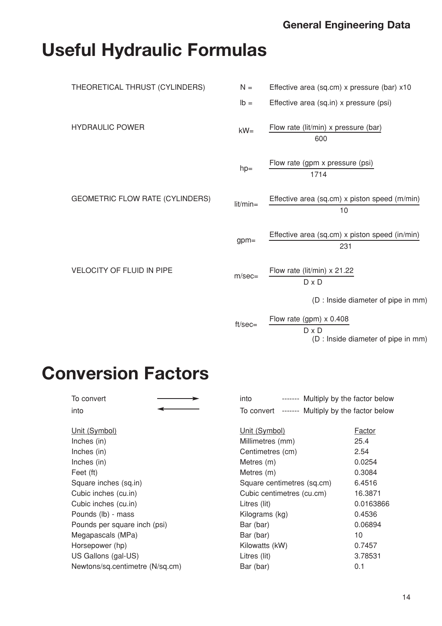## **General Engineering Data**

# **Useful Hydraulic Formulas**

| THEORETICAL THRUST (CYLINDERS)         | $N =$       | Effective area (sq.cm) x pressure (bar) x10           |
|----------------------------------------|-------------|-------------------------------------------------------|
|                                        | $Ib =$      | Effective area (sq.in) x pressure (psi)               |
| <b>HYDRAULIC POWER</b>                 | $kW =$      | Flow rate (lit/min) x pressure (bar)<br>600           |
|                                        | $hp=$       | Flow rate (gpm x pressure (psi)<br>1714               |
| <b>GEOMETRIC FLOW RATE (CYLINDERS)</b> | $lit/min =$ | Effective area (sq.cm) x piston speed (m/min)<br>10   |
|                                        | $gpm=$      | Effective area (sq.cm) x piston speed (in/min)<br>231 |
| VELOCITY OF FLUID IN PIPE              | $m/sec=$    | Flow rate (lit/min) $\times$ 21.22<br>$D \times D$    |
|                                        |             | (D : Inside diameter of pipe in mm)                   |
|                                        | $ft/sec =$  | Flow rate (gpm) $\times$ 0.408<br>$D \times D$        |

(D : Inside diameter of pipe in mm)

# **Conversion Factors**

| To convert                      | into<br>------- Multiply by the factor below       |               |
|---------------------------------|----------------------------------------------------|---------------|
| into                            | ------- Multiply by the factor below<br>To convert |               |
| Unit (Symbol)                   | Unit (Symbol)                                      | <b>Factor</b> |
| Inches (in)                     | Millimetres (mm)                                   | 25.4          |
| Inches (in)                     | Centimetres (cm)                                   | 2.54          |
| Inches (in)                     | Metres (m)                                         | 0.0254        |
| Feet (ft)                       | Metres (m)                                         | 0.3084        |
| Square inches (sq.in)           | Square centimetres (sq.cm)                         | 6.4516        |
| Cubic inches (cu.in)            | Cubic centimetres (cu.cm)                          | 16.3871       |
| Cubic inches (cu.in)            | Litres (lit)                                       | 0.0163866     |
| Pounds (lb) - mass              | Kilograms (kg)                                     | 0.4536        |
| Pounds per square inch (psi)    | Bar (bar)                                          | 0.06894       |
| Megapascals (MPa)               | Bar (bar)                                          | 10            |
| Horsepower (hp)                 | Kilowatts (kW)                                     | 0.7457        |
| US Gallons (gal-US)             | Litres (lit)                                       | 3.78531       |
| Newtons/sq.centimetre (N/sq.cm) | Bar (bar)                                          | 0.1           |
|                                 |                                                    |               |